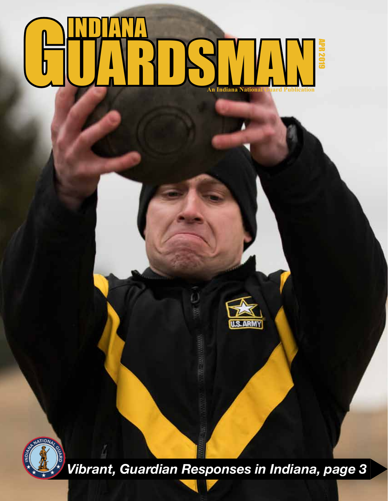### GUARDSMAN **An Indiana National Guard Publication** INDIANA APR 2019





*Vibrant, Guardian Responses in Indiana, page 3*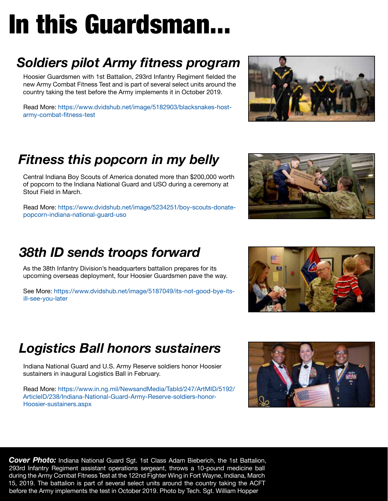# In this Guardsman...

#### *Soldiers pilot Army fitness program*

Hoosier Guardsmen with 1st Battalion, 293rd Infantry Regiment fielded the new Army Combat Fitness Test and is part of several select units around the country taking the test before the Army implements it in October 2019.

Rea[d More:](https://www.dvidshub.net/image/4872814/jrtc) [https://www.dvidshub.net/image/5182903/blacksnakes-host](https://www.dvidshub.net/image/5182903/blacksnakes-host-army-combat-fitness-test)[army-combat-fitness-test](https://www.dvidshub.net/image/5182903/blacksnakes-host-army-combat-fitness-test)

#### *Fitness this popcorn in my belly*

Central Indiana Boy Scouts of America donated more than \$200,000 worth of popcorn to the Indiana National Guard and USO during a ceremony at Stout Field in March.

Read More: [https://www.dvidshub.net/image/5234251/boy-scouts-donate](https://www.dvidshub.net/image/5234251/boy-scouts-donate-popcorn-indiana-national-guard-uso)[popcorn-indiana-national-guard-uso](https://www.dvidshub.net/image/5234251/boy-scouts-donate-popcorn-indiana-national-guard-uso)

#### *38th ID sends troops forward*

As the 38th Infantry Division's headquarters battalion prepares for its upcoming overseas deployment, four Hoosier Guardsmen pave the way.

See More: https://www.dvidshub.net/image/5187049/its-not-good-bye-its[ill-see-you-later](https://www.dvidshub.net/image/5187049/its-not-good-bye-its-ill-see-you-later)

#### *Logistics Ball honors sustainers*

Indiana National Guard and U.S. Army Reserve soldiers honor Hoosier sustainers in inaugural Logistics Ball in February.

Read More: https://www.in.ng.mil/NewsandMedia/TabId/247/ArtMID/5192/ [ArticleID/238/Indiana-National-Guard-Army-Reserve-soldiers-honor-](https://www.in.ng.mil/NewsandMedia/TabId/247/ArtMID/5192/ArticleID/238/Indiana-National-Guard-Army-Reserve-soldiers-honor-Hoosier-sustainers.aspx)[Hoosier-sustainers.aspx](https://www.in.ng.mil/NewsandMedia/TabId/247/ArtMID/5192/ArticleID/238/Indiana-National-Guard-Army-Reserve-soldiers-honor-Hoosier-sustainers.aspx)

**2** May 2018 before the Army implements the test in October 2019. Photo by Tech. Sgt. William Hopper *Cover Photo:* Indiana National Guard Sgt. 1st Class Adam Bieberich, the 1st Battalion, 293rd Infantry Regiment assistant operations sergeant, throws a 10-pound medicine ball during the Army Combat Fitness Test at the 122nd Fighter Wing in Fort Wayne, Indiana, March 15, 2019. The battalion is part of several select units around the country taking the ACFT